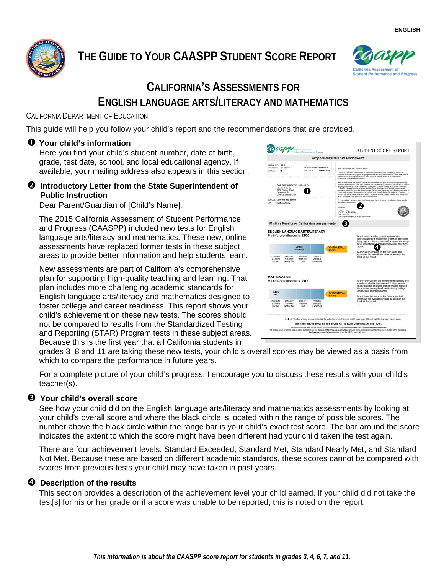

# **THE GUIDE TO YOUR CAASPP STUDENT SCORE REPORT**



## **CALIFORNIA'S ASSESSMENTS FOR ENGLISH LANGUAGE ARTS/LITERACY AND MATHEMATICS**

### CALIFORNIA DEPARTMENT OF EDUCATION

This guide will help you follow your child's report and the recommendations that are provided.

## **Your child's information**

Here you find your child's student number, date of birth, grade, test date, school, and local educational agency. If available, your mailing address also appears in this section.

### **2** Introductory Letter from the State Superintendent of **Public Instruction**

Dear Parent/Guardian of [Child's Name]:

The 2015 California Assessment of Student Performance and Progress (CAASPP) included new tests for English language arts/literacy and mathematics. These new, online assessments have replaced former tests in these subject areas to provide better information and help students learn.

New assessments are part of California's comprehensive plan for supporting high-quality teaching and learning. That plan includes more challenging academic standards for English language arts/literacy and mathematics designed to foster college and career readiness. This report shows your child's achievement on these new tests. The scores should not be compared to results from the Standardized Testing and Reporting (STAR) Program tests in these subject areas. Because this is the first year that all California students in



grades 3–8 and 11 are taking these new tests, your child's overall scores may be viewed as a basis from which to compare the performance in future years.

For a complete picture of your child's progress, I encourage you to discuss these results with your child's teacher(s).

## **Your child's overall score**

See how your child did on the English language arts/literacy and mathematics assessments by looking at your child's overall score and where the black circle is located within the range of possible scores. The number above the black circle within the range bar is your child's exact test score. The bar around the score indicates the extent to which the score might have been different had your child taken the test again.

There are four achievement levels: Standard Exceeded, Standard Met, Standard Nearly Met, and Standard Not Met. Because these are based on different academic standards, these scores cannot be compared with scores from previous tests your child may have taken in past years.

## **<sup>** $\bullet$ **</sup>** Description of the results

This section provides a description of the achievement level your child earned. If your child did not take the test[s] for his or her grade or if a score was unable to be reported, this is noted on the report.